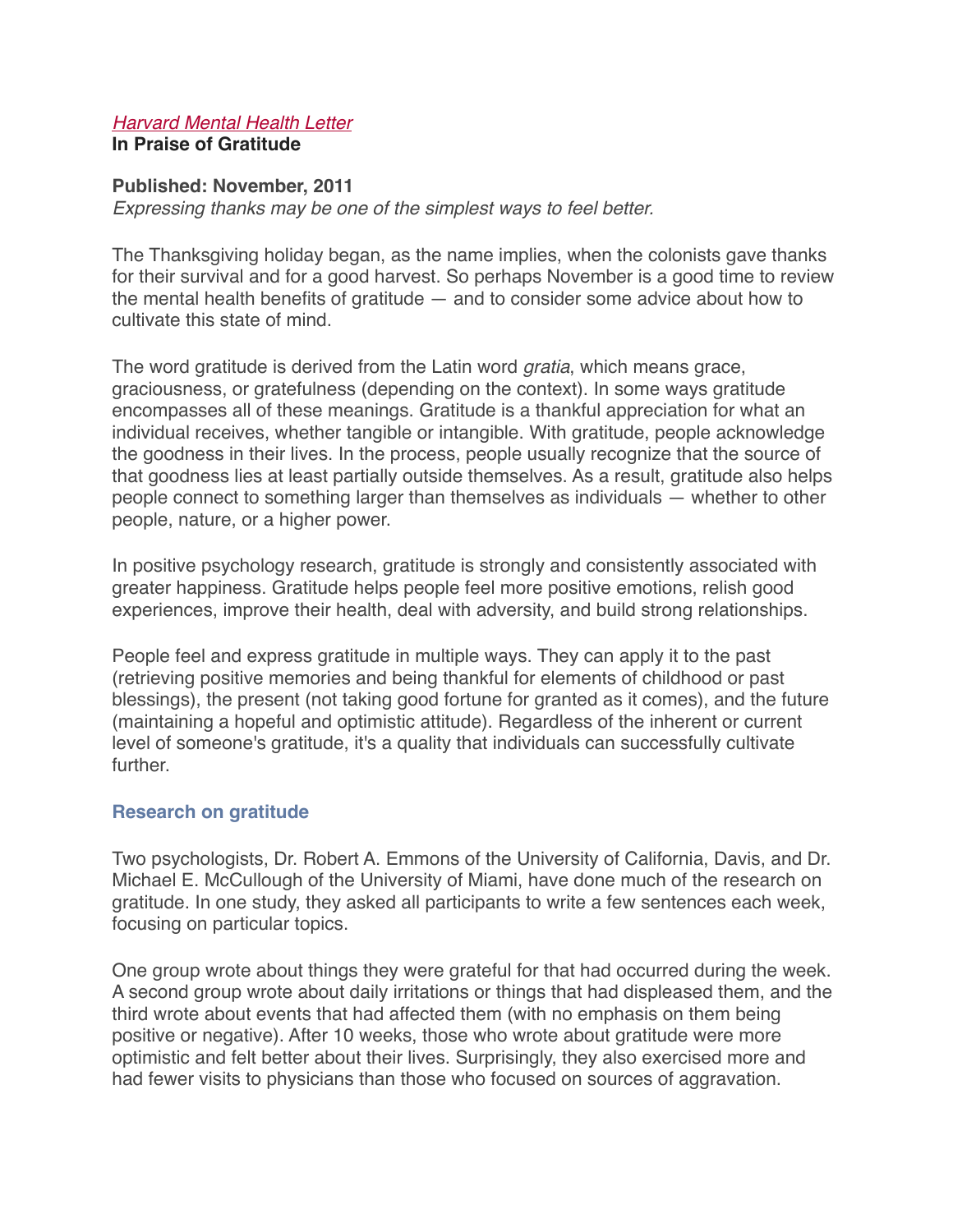## *[Harvard Mental Health Letter](https://www.health.harvard.edu/newsletters/harvard_mental_health_letter/2011/november)* **In Praise of Gratitude**

## **Published: November, 2011**

*Expressing thanks may be one of the simplest ways to feel better.*

The Thanksgiving holiday began, as the name implies, when the colonists gave thanks for their survival and for a good harvest. So perhaps November is a good time to review the mental health benefits of gratitude — and to consider some advice about how to cultivate this state of mind.

The word gratitude is derived from the Latin word *gratia*, which means grace, graciousness, or gratefulness (depending on the context). In some ways gratitude encompasses all of these meanings. Gratitude is a thankful appreciation for what an individual receives, whether tangible or intangible. With gratitude, people acknowledge the goodness in their lives. In the process, people usually recognize that the source of that goodness lies at least partially outside themselves. As a result, gratitude also helps people connect to something larger than themselves as individuals — whether to other people, nature, or a higher power.

In positive psychology research, gratitude is strongly and consistently associated with greater happiness. Gratitude helps people feel more positive emotions, relish good experiences, improve their health, deal with adversity, and build strong relationships.

People feel and express gratitude in multiple ways. They can apply it to the past (retrieving positive memories and being thankful for elements of childhood or past blessings), the present (not taking good fortune for granted as it comes), and the future (maintaining a hopeful and optimistic attitude). Regardless of the inherent or current level of someone's gratitude, it's a quality that individuals can successfully cultivate further.

## **Research on gratitude**

Two psychologists, Dr. Robert A. Emmons of the University of California, Davis, and Dr. Michael E. McCullough of the University of Miami, have done much of the research on gratitude. In one study, they asked all participants to write a few sentences each week, focusing on particular topics.

One group wrote about things they were grateful for that had occurred during the week. A second group wrote about daily irritations or things that had displeased them, and the third wrote about events that had affected them (with no emphasis on them being positive or negative). After 10 weeks, those who wrote about gratitude were more optimistic and felt better about their lives. Surprisingly, they also exercised more and had fewer visits to physicians than those who focused on sources of aggravation.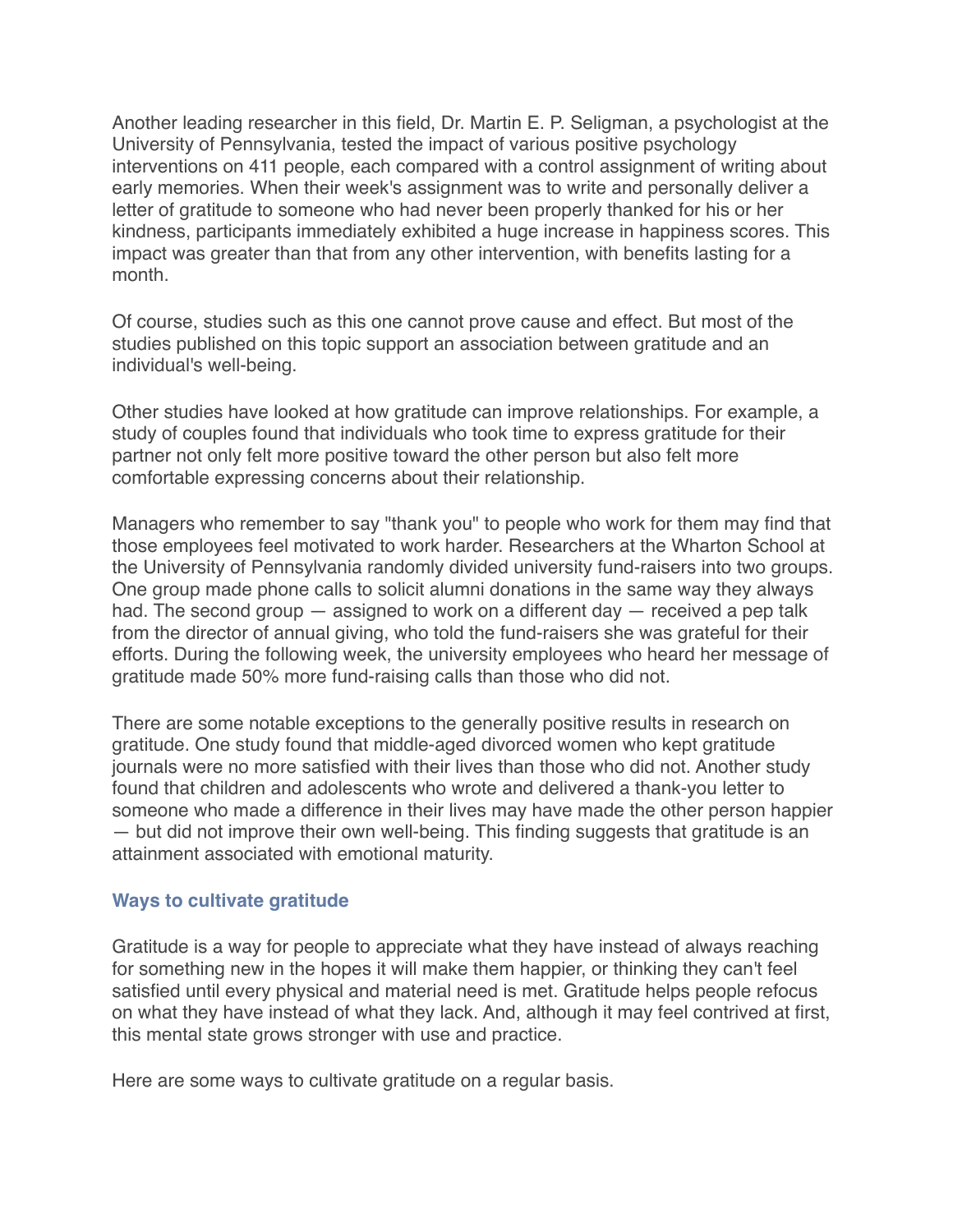Another leading researcher in this field, Dr. Martin E. P. Seligman, a psychologist at the University of Pennsylvania, tested the impact of various positive psychology interventions on 411 people, each compared with a control assignment of writing about early memories. When their week's assignment was to write and personally deliver a letter of gratitude to someone who had never been properly thanked for his or her kindness, participants immediately exhibited a huge increase in happiness scores. This impact was greater than that from any other intervention, with benefits lasting for a month.

Of course, studies such as this one cannot prove cause and effect. But most of the studies published on this topic support an association between gratitude and an individual's well-being.

Other studies have looked at how gratitude can improve relationships. For example, a study of couples found that individuals who took time to express gratitude for their partner not only felt more positive toward the other person but also felt more comfortable expressing concerns about their relationship.

Managers who remember to say "thank you" to people who work for them may find that those employees feel motivated to work harder. Researchers at the Wharton School at the University of Pennsylvania randomly divided university fund-raisers into two groups. One group made phone calls to solicit alumni donations in the same way they always had. The second group — assigned to work on a different day — received a pep talk from the director of annual giving, who told the fund-raisers she was grateful for their efforts. During the following week, the university employees who heard her message of gratitude made 50% more fund-raising calls than those who did not.

There are some notable exceptions to the generally positive results in research on gratitude. One study found that middle-aged divorced women who kept gratitude journals were no more satisfied with their lives than those who did not. Another study found that children and adolescents who wrote and delivered a thank-you letter to someone who made a difference in their lives may have made the other person happier — but did not improve their own well-being. This finding suggests that gratitude is an attainment associated with emotional maturity.

## **Ways to cultivate gratitude**

Gratitude is a way for people to appreciate what they have instead of always reaching for something new in the hopes it will make them happier, or thinking they can't feel satisfied until every physical and material need is met. Gratitude helps people refocus on what they have instead of what they lack. And, although it may feel contrived at first, this mental state grows stronger with use and practice.

Here are some ways to cultivate gratitude on a regular basis.